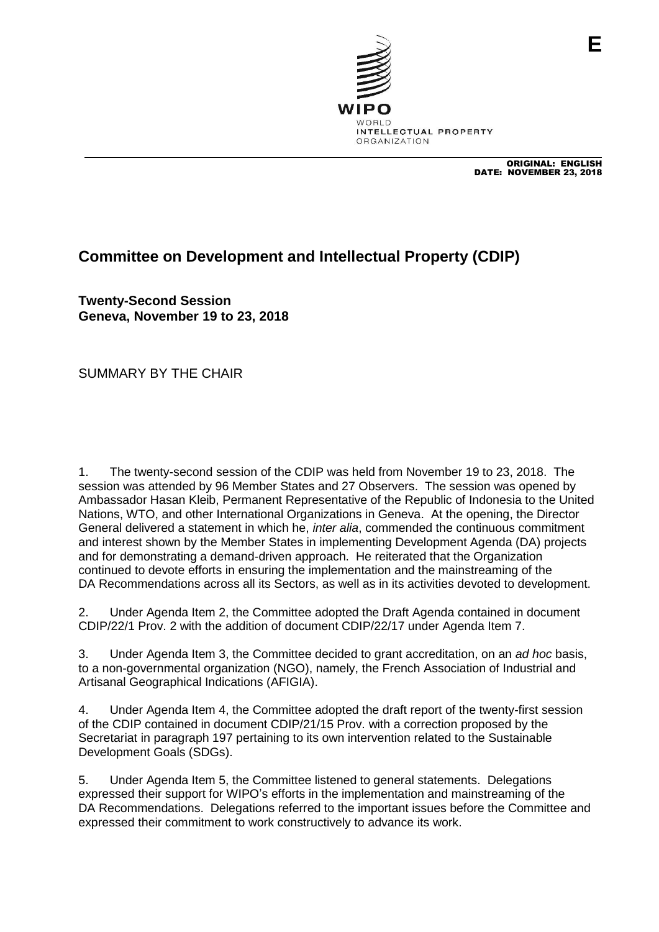

ORIGINAL: ENGLISH DATE: NOVEMBER 23, 2018

## **Committee on Development and Intellectual Property (CDIP)**

**Twenty-Second Session Geneva, November 19 to 23, 2018**

SUMMARY BY THE CHAIR

1. The twenty-second session of the CDIP was held from November 19 to 23, 2018. The session was attended by 96 Member States and 27 Observers. The session was opened by Ambassador Hasan Kleib, Permanent Representative of the Republic of Indonesia to the United Nations, WTO, and other International Organizations in Geneva. At the opening, the Director General delivered a statement in which he, *inter alia*, commended the continuous commitment and interest shown by the Member States in implementing Development Agenda (DA) projects and for demonstrating a demand-driven approach. He reiterated that the Organization continued to devote efforts in ensuring the implementation and the mainstreaming of the DA Recommendations across all its Sectors, as well as in its activities devoted to development.

2. Under Agenda Item 2, the Committee adopted the Draft Agenda contained in document CDIP/22/1 Prov. 2 with the addition of document CDIP/22/17 under Agenda Item 7.

3. Under Agenda Item 3, the Committee decided to grant accreditation, on an *ad hoc* basis, to a non-governmental organization (NGO), namely, the French Association of Industrial and Artisanal Geographical Indications (AFIGIA).

4. Under Agenda Item 4, the Committee adopted the draft report of the twenty-first session of the CDIP contained in document CDIP/21/15 Prov. with a correction proposed by the Secretariat in paragraph 197 pertaining to its own intervention related to the Sustainable Development Goals (SDGs).

5. Under Agenda Item 5, the Committee listened to general statements. Delegations expressed their support for WIPO's efforts in the implementation and mainstreaming of the DA Recommendations. Delegations referred to the important issues before the Committee and expressed their commitment to work constructively to advance its work.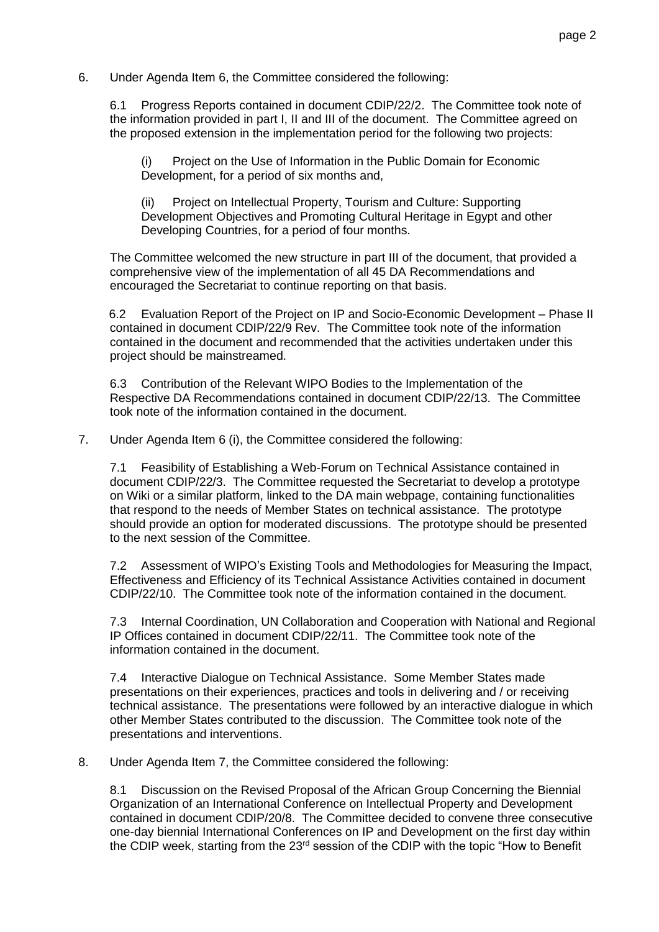## 6. Under Agenda Item 6, the Committee considered the following:

6.1 Progress Reports contained in document CDIP/22/2. The Committee took note of the information provided in part I, II and III of the document. The Committee agreed on the proposed extension in the implementation period for the following two projects:

(i) Project on the Use of Information in the Public Domain for Economic Development, for a period of six months and,

(ii) Project on Intellectual Property, Tourism and Culture: Supporting Development Objectives and Promoting Cultural Heritage in Egypt and other Developing Countries, for a period of four months.

The Committee welcomed the new structure in part III of the document, that provided a comprehensive view of the implementation of all 45 DA Recommendations and encouraged the Secretariat to continue reporting on that basis.

 6.2 Evaluation Report of the Project on IP and Socio-Economic Development – Phase II contained in document CDIP/22/9 Rev. The Committee took note of the information contained in the document and recommended that the activities undertaken under this project should be mainstreamed.

6.3 Contribution of the Relevant WIPO Bodies to the Implementation of the Respective DA Recommendations contained in document CDIP/22/13. The Committee took note of the information contained in the document.

7. Under Agenda Item 6 (i), the Committee considered the following:

7.1 Feasibility of Establishing a Web-Forum on Technical Assistance contained in document CDIP/22/3. The Committee requested the Secretariat to develop a prototype on Wiki or a similar platform, linked to the DA main webpage, containing functionalities that respond to the needs of Member States on technical assistance. The prototype should provide an option for moderated discussions. The prototype should be presented to the next session of the Committee.

7.2 Assessment of WIPO's Existing Tools and Methodologies for Measuring the Impact, Effectiveness and Efficiency of its Technical Assistance Activities contained in document CDIP/22/10. The Committee took note of the information contained in the document.

7.3 Internal Coordination, UN Collaboration and Cooperation with National and Regional IP Offices contained in document CDIP/22/11. The Committee took note of the information contained in the document.

7.4 Interactive Dialogue on Technical Assistance. Some Member States made presentations on their experiences, practices and tools in delivering and / or receiving technical assistance. The presentations were followed by an interactive dialogue in which other Member States contributed to the discussion. The Committee took note of the presentations and interventions.

8. Under Agenda Item 7, the Committee considered the following:

8.1 Discussion on the Revised Proposal of the African Group Concerning the Biennial Organization of an International Conference on Intellectual Property and Development contained in document CDIP/20/8. The Committee decided to convene three consecutive one-day biennial International Conferences on IP and Development on the first day within the CDIP week, starting from the 23<sup>rd</sup> session of the CDIP with the topic "How to Benefit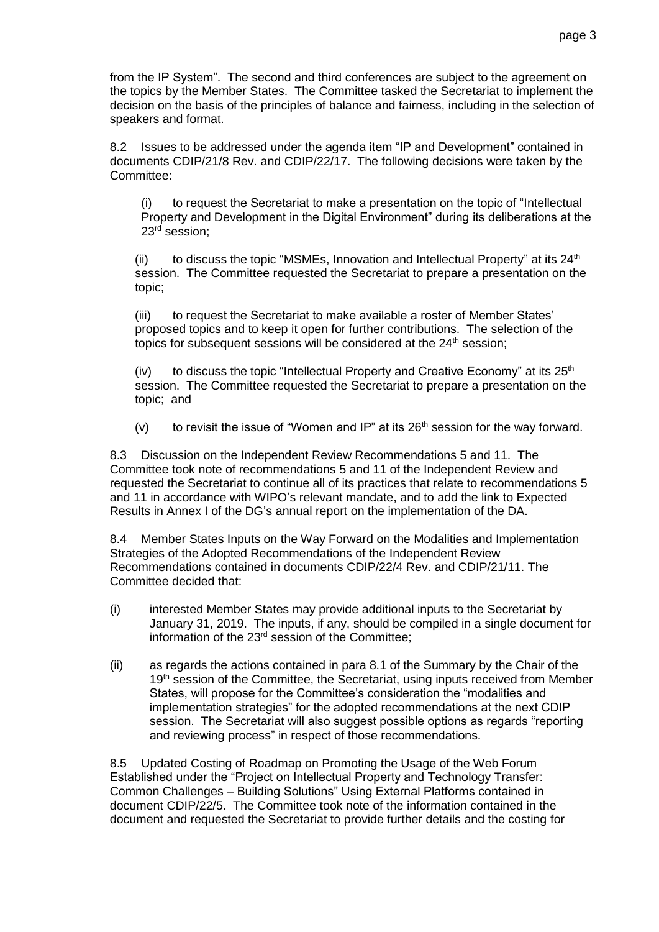from the IP System". The second and third conferences are subject to the agreement on the topics by the Member States. The Committee tasked the Secretariat to implement the decision on the basis of the principles of balance and fairness, including in the selection of speakers and format.

8.2 Issues to be addressed under the agenda item "IP and Development" contained in documents CDIP/21/8 Rev. and CDIP/22/17. The following decisions were taken by the Committee:

(i) to request the Secretariat to make a presentation on the topic of "Intellectual Property and Development in the Digital Environment" during its deliberations at the 23rd session;

(ii) to discuss the topic "MSMEs, Innovation and Intellectual Property" at its  $24<sup>th</sup>$ session. The Committee requested the Secretariat to prepare a presentation on the topic;

(iii) to request the Secretariat to make available a roster of Member States' proposed topics and to keep it open for further contributions. The selection of the topics for subsequent sessions will be considered at the  $24<sup>th</sup>$  session;

(iv) to discuss the topic "Intellectual Property and Creative Economy" at its  $25<sup>th</sup>$ session. The Committee requested the Secretariat to prepare a presentation on the topic; and

(v) to revisit the issue of "Women and IP" at its  $26<sup>th</sup>$  session for the way forward.

8.3 Discussion on the Independent Review Recommendations 5 and 11. The Committee took note of recommendations 5 and 11 of the Independent Review and requested the Secretariat to continue all of its practices that relate to recommendations 5 and 11 in accordance with WIPO's relevant mandate, and to add the link to Expected Results in Annex I of the DG's annual report on the implementation of the DA.

8.4 Member States Inputs on the Way Forward on the Modalities and Implementation Strategies of the Adopted Recommendations of the Independent Review Recommendations contained in documents CDIP/22/4 Rev. and CDIP/21/11. The Committee decided that:

- (i) interested Member States may provide additional inputs to the Secretariat by January 31, 2019. The inputs, if any, should be compiled in a single document for information of the 23rd session of the Committee;
- (ii) as regards the actions contained in para 8.1 of the Summary by the Chair of the 19<sup>th</sup> session of the Committee, the Secretariat, using inputs received from Member States, will propose for the Committee's consideration the "modalities and implementation strategies" for the adopted recommendations at the next CDIP session. The Secretariat will also suggest possible options as regards "reporting and reviewing process" in respect of those recommendations.

8.5 Updated Costing of Roadmap on Promoting the Usage of the Web Forum Established under the "Project on Intellectual Property and Technology Transfer: Common Challenges – Building Solutions" Using External Platforms contained in document CDIP/22/5. The Committee took note of the information contained in the document and requested the Secretariat to provide further details and the costing for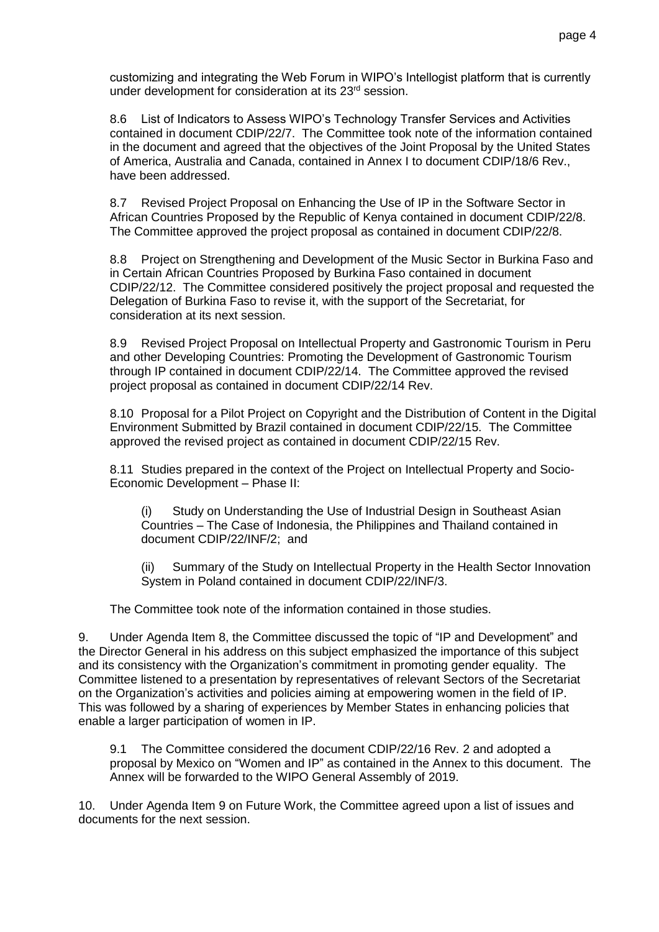customizing and integrating the Web Forum in WIPO's Intellogist platform that is currently under development for consideration at its 23<sup>rd</sup> session.

8.6 List of Indicators to Assess WIPO's Technology Transfer Services and Activities contained in document CDIP/22/7. The Committee took note of the information contained in the document and agreed that the objectives of the Joint Proposal by the United States of America, Australia and Canada, contained in Annex I to document CDIP/18/6 Rev., have been addressed.

8.7 Revised Project Proposal on Enhancing the Use of IP in the Software Sector in African Countries Proposed by the Republic of Kenya contained in document CDIP/22/8. The Committee approved the project proposal as contained in document CDIP/22/8.

8.8 Project on Strengthening and Development of the Music Sector in Burkina Faso and in Certain African Countries Proposed by Burkina Faso contained in document CDIP/22/12. The Committee considered positively the project proposal and requested the Delegation of Burkina Faso to revise it, with the support of the Secretariat, for consideration at its next session.

8.9 Revised Project Proposal on Intellectual Property and Gastronomic Tourism in Peru and other Developing Countries: Promoting the Development of Gastronomic Tourism through IP contained in document CDIP/22/14. The Committee approved the revised project proposal as contained in document CDIP/22/14 Rev.

8.10 Proposal for a Pilot Project on Copyright and the Distribution of Content in the Digital Environment Submitted by Brazil contained in document CDIP/22/15. The Committee approved the revised project as contained in document CDIP/22/15 Rev.

8.11 Studies prepared in the context of the Project on Intellectual Property and Socio-Economic Development – Phase II:

(i) Study on Understanding the Use of Industrial Design in Southeast Asian Countries – The Case of Indonesia, the Philippines and Thailand contained in document CDIP/22/INF/2; and

(ii) Summary of the Study on Intellectual Property in the Health Sector Innovation System in Poland contained in document CDIP/22/INF/3.

The Committee took note of the information contained in those studies.

9. Under Agenda Item 8, the Committee discussed the topic of "IP and Development" and the Director General in his address on this subject emphasized the importance of this subject and its consistency with the Organization's commitment in promoting gender equality. The Committee listened to a presentation by representatives of relevant Sectors of the Secretariat on the Organization's activities and policies aiming at empowering women in the field of IP. This was followed by a sharing of experiences by Member States in enhancing policies that enable a larger participation of women in IP.

9.1 The Committee considered the document CDIP/22/16 Rev. 2 and adopted a proposal by Mexico on "Women and IP" as contained in the Annex to this document. The Annex will be forwarded to the WIPO General Assembly of 2019.

10. Under Agenda Item 9 on Future Work, the Committee agreed upon a list of issues and documents for the next session.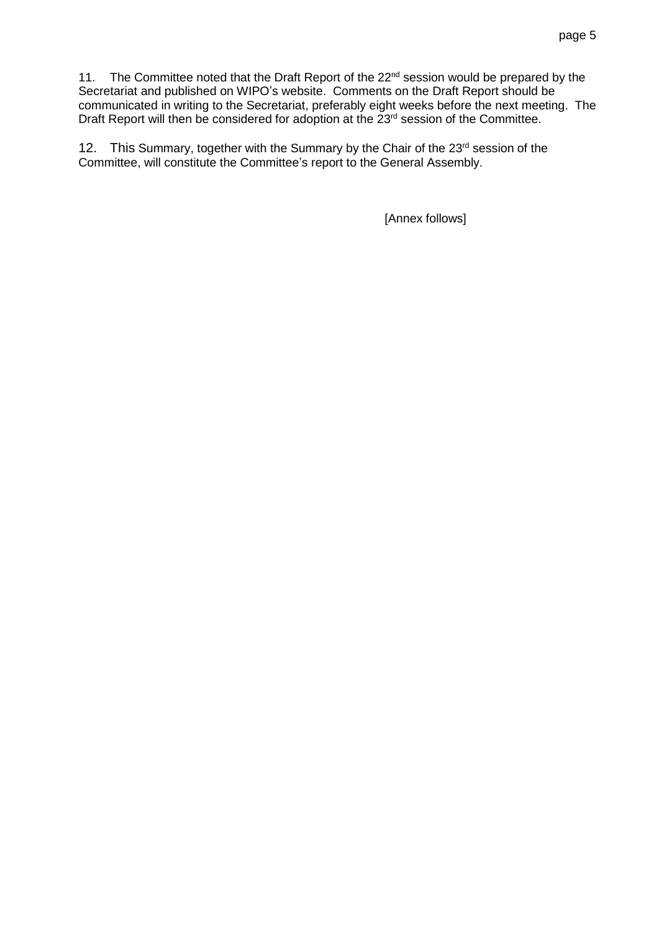11. The Committee noted that the Draft Report of the 22<sup>nd</sup> session would be prepared by the Secretariat and published on WIPO's website. Comments on the Draft Report should be communicated in writing to the Secretariat, preferably eight weeks before the next meeting. The Draft Report will then be considered for adoption at the  $23<sup>rd</sup>$  session of the Committee.

12. This Summary, together with the Summary by the Chair of the 23<sup>rd</sup> session of the Committee, will constitute the Committee's report to the General Assembly.

[Annex follows]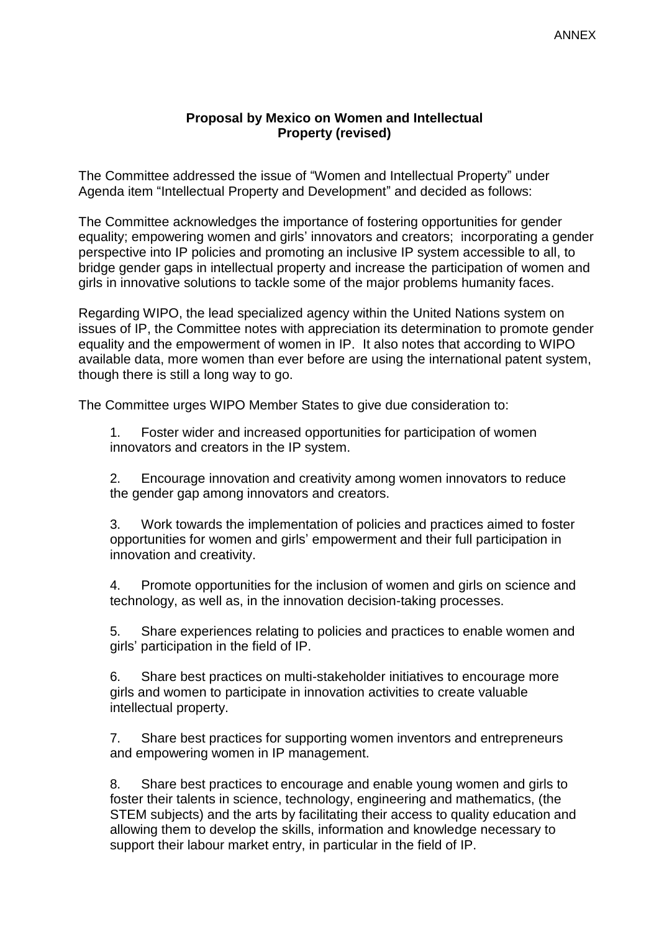## **Proposal by Mexico on Women and Intellectual Property (revised)**

The Committee addressed the issue of "Women and Intellectual Property" under Agenda item "Intellectual Property and Development" and decided as follows:

The Committee acknowledges the importance of fostering opportunities for gender equality; empowering women and girls' innovators and creators; incorporating a gender perspective into IP policies and promoting an inclusive IP system accessible to all, to bridge gender gaps in intellectual property and increase the participation of women and girls in innovative solutions to tackle some of the major problems humanity faces.

Regarding WIPO, the lead specialized agency within the United Nations system on issues of IP, the Committee notes with appreciation its determination to promote gender equality and the empowerment of women in IP. It also notes that according to WIPO available data, more women than ever before are using the international patent system, though there is still a long way to go.

The Committee urges WIPO Member States to give due consideration to:

1. Foster wider and increased opportunities for participation of women innovators and creators in the IP system.

2. Encourage innovation and creativity among women innovators to reduce the gender gap among innovators and creators.

3. Work towards the implementation of policies and practices aimed to foster opportunities for women and girls' empowerment and their full participation in innovation and creativity.

4. Promote opportunities for the inclusion of women and girls on science and technology, as well as, in the innovation decision-taking processes.

5. Share experiences relating to policies and practices to enable women and girls' participation in the field of IP.

6. Share best practices on multi-stakeholder initiatives to encourage more girls and women to participate in innovation activities to create valuable intellectual property.

7. Share best practices for supporting women inventors and entrepreneurs and empowering women in IP management.

8. Share best practices to encourage and enable young women and girls to foster their talents in science, technology, engineering and mathematics, (the STEM subjects) and the arts by facilitating their access to quality education and allowing them to develop the skills, information and knowledge necessary to support their labour market entry, in particular in the field of IP.